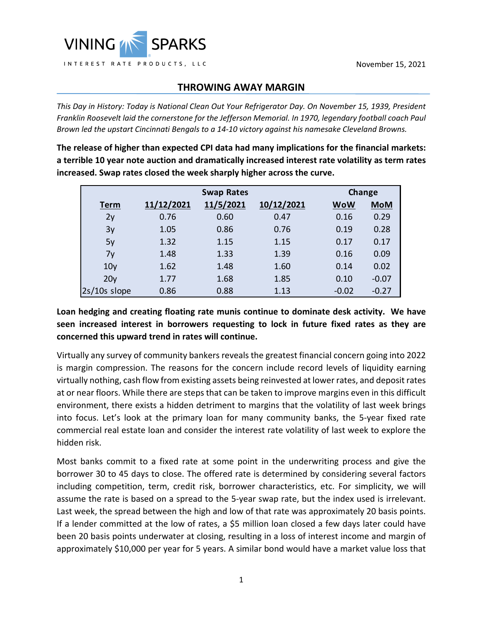## **THROWING AWAY MARGIN**

*This Day in History: Today is National Clean Out Your Refrigerator Day. On November 15, 1939, President Franklin Roosevelt laid the cornerstone for the Jefferson Memorial. In 1970, legendary football coach Paul Brown led the upstart Cincinnati Bengals to a 14-10 victory against his namesake Cleveland Browns.*

**The release of higher than expected CPI data had many implications for the financial markets: a terrible 10 year note auction and dramatically increased interest rate volatility as term rates increased. Swap rates closed the week sharply higher across the curve.**

|                 |            | <b>Swap Rates</b> |            | <b>Change</b> |            |
|-----------------|------------|-------------------|------------|---------------|------------|
| <b>Term</b>     | 11/12/2021 | 11/5/2021         | 10/12/2021 | <b>WoW</b>    | <b>MoM</b> |
| 2y              | 0.76       | 0.60              | 0.47       | 0.16          | 0.29       |
| 3y              | 1.05       | 0.86              | 0.76       | 0.19          | 0.28       |
| 5y              | 1.32       | 1.15              | 1.15       | 0.17          | 0.17       |
| 7y              | 1.48       | 1.33              | 1.39       | 0.16          | 0.09       |
| 10 <sub>V</sub> | 1.62       | 1.48              | 1.60       | 0.14          | 0.02       |
| 20 <sub>V</sub> | 1.77       | 1.68              | 1.85       | 0.10          | $-0.07$    |
| $2s/10s$ slope  | 0.86       | 0.88              | 1.13       | $-0.02$       | $-0.27$    |

## **Loan hedging and creating floating rate munis continue to dominate desk activity. We have seen increased interest in borrowers requesting to lock in future fixed rates as they are concerned this upward trend in rates will continue.**

Virtually any survey of community bankers reveals the greatest financial concern going into 2022 is margin compression. The reasons for the concern include record levels of liquidity earning virtually nothing, cash flow from existing assets being reinvested at lower rates, and deposit rates at or near floors. While there are steps that can be taken to improve margins even in this difficult environment, there exists a hidden detriment to margins that the volatility of last week brings into focus. Let's look at the primary loan for many community banks, the 5-year fixed rate commercial real estate loan and consider the interest rate volatility of last week to explore the hidden risk.

Most banks commit to a fixed rate at some point in the underwriting process and give the borrower 30 to 45 days to close. The offered rate is determined by considering several factors including competition, term, credit risk, borrower characteristics, etc. For simplicity, we will assume the rate is based on a spread to the 5-year swap rate, but the index used is irrelevant. Last week, the spread between the high and low of that rate was approximately 20 basis points. If a lender committed at the low of rates, a \$5 million loan closed a few days later could have been 20 basis points underwater at closing, resulting in a loss of interest income and margin of approximately \$10,000 per year for 5 years. A similar bond would have a market value loss that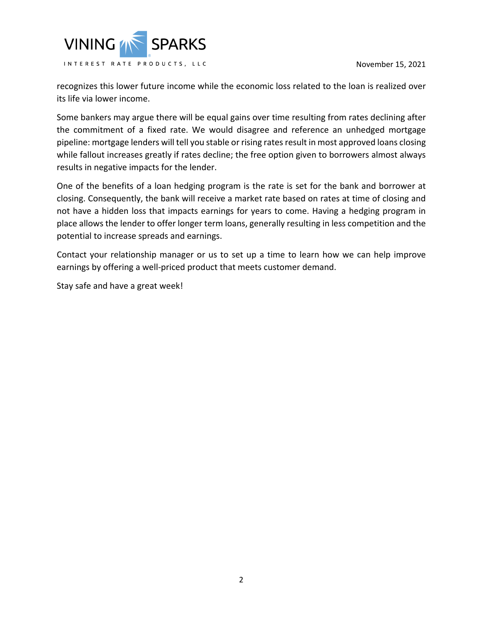November 15, 2021



recognizes this lower future income while the economic loss related to the loan is realized over its life via lower income.

Some bankers may argue there will be equal gains over time resulting from rates declining after the commitment of a fixed rate. We would disagree and reference an unhedged mortgage pipeline: mortgage lenders will tell you stable or rising rates result in most approved loans closing while fallout increases greatly if rates decline; the free option given to borrowers almost always results in negative impacts for the lender.

One of the benefits of a loan hedging program is the rate is set for the bank and borrower at closing. Consequently, the bank will receive a market rate based on rates at time of closing and not have a hidden loss that impacts earnings for years to come. Having a hedging program in place allows the lender to offer longer term loans, generally resulting in less competition and the potential to increase spreads and earnings.

Contact your relationship manager or us to set up a time to learn how we can help improve earnings by offering a well-priced product that meets customer demand.

Stay safe and have a great week!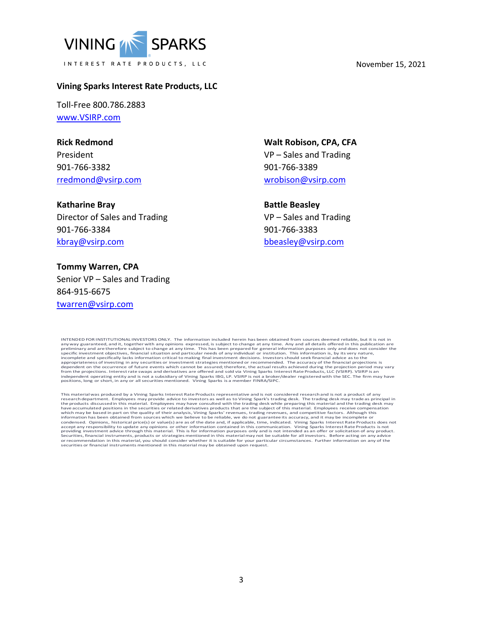

#### November 15, 2021

### **Vining Sparks Interest Rate Products, LLC**

Toll-Free 800.786.2883 [www.VSIRP.com](http://www.vsirp.com/)

**Rick Redmond** President 901-766-3382 [rredmond@vsirp.com](mailto:rredmond@vsirp.com)

**Katharine Bray** Director of Sales and Trading 901-766-3384 [kbray@vsirp.com](mailto:kbray@vsirp.com)

**Tommy Warren, CPA** Senior VP – Sales and Trading 864-915-6675 [twarren@vsirp.com](mailto:twarren@vsirp.com)

**Walt Robison, CPA, CFA** VP – Sales and Trading 901-766-3389 [wrobison@vsirp.com](mailto:wrobison@vsirp.com)

**Battle Beasley**

VP – Sales and Trading 901-766-3383 [bbeasley@vsirp.com](mailto:bbeasley@vsirp.com)

INTENDED FOR INSTITUTIONAL INVESTORS ONLY. The information included herein has been obtained from sources deemed reliable, but it is not in any way guaranteed, and it, together with any opinions expressed, is subject to change at any time. Any and all details offered in this publication are preliminary and are therefore subject to change at any time. This has appropriateness of investing in any securities or investment strategies mentioned or recommended. The accuracy of the financial projections is<br>dependent on the occurrence of future events which cannot be assured; therefore

This material was produced by a Vining Sparks Interest Rate Products representative and is not considered research and is not a product of any<br>research department. Employees may provide advice to investors as well as to Vi which may be based in part on the quality of their analysis, Vining Sparks' revenues, trading revenues, and competitive factors. Although this information has been obtained from sources which we believe to be reliable, we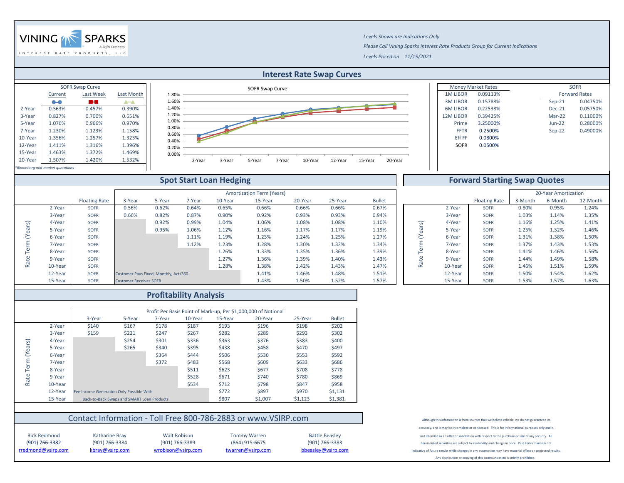|                 | <b>Money Market Rates</b> |          | <b>SOFR</b>          |
|-----------------|---------------------------|----------|----------------------|
| <b>1M LIBOR</b> | 0.09113%                  |          | <b>Forward Rates</b> |
| <b>3M LIBOR</b> | 0.15788%                  | $Sep-21$ | 0.04750%             |
| <b>6M LIBOR</b> | 0.22538%                  | $Dec-21$ | 0.05750%             |
| <b>2M LIBOR</b> | 0.39425%                  | $Mar-22$ | 0.11000%             |
| Prime           | 3.25000%                  | $Jun-22$ | 0.28000%             |
| <b>FFTR</b>     | 0.2500%                   | $Sep-22$ | 0.49000%             |
| <b>Eff FF</b>   | 0.0800%                   |          |                      |
| <b>SOFR</b>     | 0.0500%                   |          |                      |
|                 |                           |          |                      |

|      |                      |         | 20-Year Amortization |          |
|------|----------------------|---------|----------------------|----------|
|      | <b>Floating Rate</b> | 3-Month | 6-Month              | 12-Month |
| ear  | <b>SOFR</b>          | 0.80%   | 0.95%                | 1.24%    |
| ear  | <b>SOFR</b>          | 1.03%   | 1.14%                | 1.35%    |
| ear  | <b>SOFR</b>          | 1.16%   | 1.25%                | 1.41%    |
| ear  | <b>SOFR</b>          | 1.25%   | 1.32%                | 1.46%    |
| ear  | <b>SOFR</b>          | 1.31%   | 1.38%                | 1.50%    |
| ear  | <b>SOFR</b>          | 1.37%   | 1.43%                | 1.53%    |
| ear  | <b>SOFR</b>          | 1.41%   | 1.46%                | 1.56%    |
| ear  | <b>SOFR</b>          | 1.44%   | 1.49%                | 1.58%    |
| 'ear | <b>SOFR</b>          | 1.46%   | 1.51%                | 1.59%    |
| 'ear | <b>SOFR</b>          | 1.50%   | 1.54%                | 1.62%    |
| 'ear | <b>SOFR</b>          | 1.53%   | 1.57%                | 1.63%    |



(901) 766-3382 (901) 766-3384 (901) 766-3389 (864) 915-6675 Rick Redmond Katharine Bray Walt Robison Tommy Warren



### **Spot Start Loan Hedging Forward Starting Swap Quotes** Amortization Term (Years) Floating Rate 3-Year 5-Year 7-Year 10-Year 15-Year 20-Year 25-Year Bullet Bullet Floating Rate 3-Month 6-Month 12-Month 2-Year SOFR 0.56% 0.62% 0.64% 0.65% 0.66% 0.66% 0.66% 0.67% 0.67% 2-Year SOFR 0.80% 0.95% 1.24% 3-Year SOFR 0.66% 0.82% 0.87% 0.90% 0.92% 0.93% 0.93% 0.94% 3-Year SOFR 1.03% 1.14% 1.35% Term (Years) 4-Year | SOFR | 0.92% 0.99% 1.04% 1.06% 1.08% 1.08% 1.10% || ధ 4-Year | SOFR 1.16% 1.25% 1.41% Rate Term (Years) Rate Term (Years) 5-Year SOFR 0.95% 1.06% 1.12% 1.16% 1.17% 1.19% 5-Year SOFR 1.25% 1.32% 1.46% 6-Year | SOFR | 1.11% 1.19% 1.23% 1.24% 1.25% 1.27% || こ 6-Year | SOFR 1.31% 1.38% 1.50% 7-Year SOFR 1.12% 1.23% 1.28% 1.30% 1.32% 1.34% | SOFR 1.37% 1.43% 1.53% 8-Year | SOFR | 1.26% 1.33% 1.35% 1.36% 1.39% || | SOFR 1.41% 1.46% 1.56% Rate<sup>-</sup> 9-Year SOFR 1.27% 1.36% 1.39% 1.40% 1.43% 9-Year SOFR 1.44% 1.49% 1.58% 10-Year SOFR 1.28% 1.38% 1.42% 1.43% 1.47% 10-Year SOFR 1.46% 1.51% 1.59% 12-Year SOFR Customer Pays Fixed, Monthly, Act/360 1.41% 1.41% 1.46% 1.48% 1.51% 1.51% 12-Year SOFR 1.50% 1.54% 1.54% 1.62% 15-Year SOFR Customer Receives SOFR 1.63% 1.43% 1.50% 1.52% 1.57% 1.57% 1.57% 1.5-Year SOFR 1.53% 1.57% 1.63%

# Contact Information - Toll Free 800-786-2883 or www.VSIRP.com

indicative of future results while changes in any assumption may have material effect on projected results.

| <b>Profitability Analysis</b> |         |                                          |                                                                |        |         |         |         |         |               |  |  |
|-------------------------------|---------|------------------------------------------|----------------------------------------------------------------|--------|---------|---------|---------|---------|---------------|--|--|
|                               |         |                                          | Profit Per Basis Point of Mark-up, Per \$1,000,000 of Notional |        |         |         |         |         |               |  |  |
|                               |         | 3-Year                                   | 5-Year                                                         | 7-Year | 10-Year | 15-Year | 20-Year | 25-Year | <b>Bullet</b> |  |  |
|                               | 2-Year  | \$140                                    | \$167                                                          | \$178  | \$187   | \$193   | \$196   | \$198   | \$202         |  |  |
|                               | 3-Year  | \$159                                    | \$221                                                          | \$247  | \$267   | \$282   | \$289   | \$293   | \$302         |  |  |
|                               | 4-Year  |                                          | \$254                                                          | \$301  | \$336   | \$363   | \$376   | \$383   | \$400         |  |  |
| (Years)                       | 5-Year  |                                          | \$265                                                          | \$340  | \$395   | \$438   | \$458   | \$470   | \$497         |  |  |
|                               | 6-Year  |                                          |                                                                | \$364  | \$444   | \$506   | \$536   | \$553   | \$592         |  |  |
| Term                          | 7-Year  |                                          |                                                                | \$372  | \$483   | \$568   | \$609   | \$633   | \$686         |  |  |
|                               | 8-Year  |                                          |                                                                |        | \$511   | \$623   | \$677   | \$708   | \$778         |  |  |
| Rate                          | 9-Year  |                                          |                                                                |        | \$528   | \$671   | \$740   | \$780   | \$869         |  |  |
|                               | 10-Year |                                          |                                                                |        | \$534   | \$712   | \$798   | \$847   | \$958         |  |  |
|                               | 12-Year | Fee Income Generation Only Possible With |                                                                |        |         | \$772   | \$897   | \$970   | \$1,131       |  |  |
|                               | 15-Year |                                          | Back-to-Back Swaps and SMART Loan Products                     |        |         | \$807   | \$1,007 | \$1,123 | \$1,381       |  |  |

(901) 766-3383 herein listed securities are subject to availability and change in price. Past Performance is not

Any distribution or copying of this communication is strictly prohibited.

[rredmond](mailto:rredmond@vsirp.com)@vsirp.com [kbray@vsir](mailto:kbray@vsirp.com)p.com [wrobison@](mailto:wrobison@vsirp.com)vsirp.com [twarre](mailto:twarren@vsirp.com)n@vsirp.com [bbeasle](mailto:bbeasley@vsirp.com)y@vsirp.com

Although this information is from sources that we believe reliable, we do not guaranteee its

accuracy, and it may be incomplete or condensed. This is for informational purposes only and is

Battle Beasley **not intended as an offer or solicitation with respect to the purchase or sale of any security.** All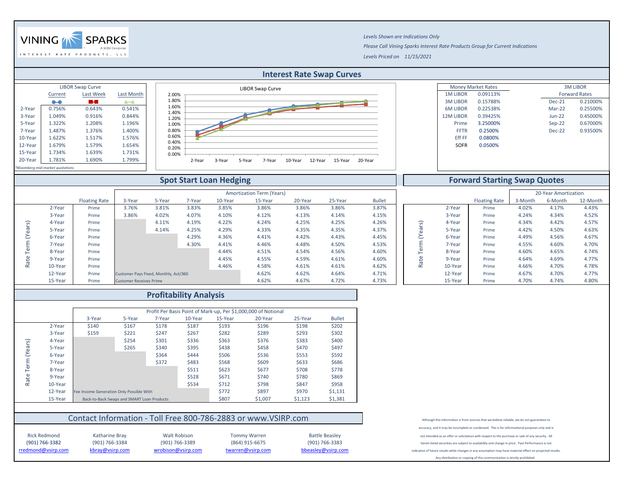|                 | <b>Money Market Rates</b> |           | <b>3M LIBOR</b>      |
|-----------------|---------------------------|-----------|----------------------|
| <b>1M LIBOR</b> | 0.09113%                  |           | <b>Forward Rates</b> |
| <b>3M LIBOR</b> | 0.15788%                  | $Dec-21$  | 0.21000%             |
| <b>6M LIBOR</b> | 0.22538%                  | $Mar-22$  | 0.25500%             |
| <b>2M LIBOR</b> | 0.39425%                  | $J$ un-22 | 0.45000%             |
| Prime           | 3.25000%                  | $Sep-22$  | 0.67000%             |
| <b>FFTR</b>     | 0.2500%                   | $Dec-22$  | 0.93500%             |
| <b>Eff FF</b>   | 0.0800%                   |           |                      |
| <b>SOFR</b>     | 0.0500%                   |           |                      |
|                 |                           |           |                      |

## **Forward Starting Swap Quotes**



*Levels Shown are Indications Only Please Call Vining Sparks Interest Rate Products Group for Current Indications Levels Priced on 11/15/2021*



|                      |         |                      |                                       |        |        |         | <b>Amortization Term (Years)</b> |         |         |               |                |         |                      |         | 20-Year Amortization |          |
|----------------------|---------|----------------------|---------------------------------------|--------|--------|---------|----------------------------------|---------|---------|---------------|----------------|---------|----------------------|---------|----------------------|----------|
|                      |         | <b>Floating Rate</b> | 3-Year                                | 5-Year | 7-Year | 10-Year | 15-Year                          | 20-Year | 25-Year | <b>Bullet</b> |                |         | <b>Floating Rate</b> | 3-Month | 6-Month              | 12-Month |
|                      | 2-Year  | Prime                | 3.76%                                 | 3.81%  | 3.83%  | 3.85%   | 3.86%                            | 3.86%   | 3.86%   | 3.87%         |                | 2-Year  | Prime                | 4.02%   | 4.17%                | 4.43%    |
|                      | 3-Year  | Prime                | 3.86%                                 | 4.02%  | 4.07%  | 4.10%   | 4.12%                            | 4.13%   | 4.14%   | 4.15%         |                | 3-Year  | Prime                | 4.24%   | 4.34%                | 4.52%    |
|                      | 4-Year  | Prime                |                                       | 4.11%  | 4.19%  | 4.22%   | 4.24%                            | 4.25%   | 4.25%   | 4.26%         | $\widehat{\,}$ | 4-Year  | Prime                | 4.34%   | 4.42%                | 4.57%    |
|                      | 5-Year  | Prime                |                                       | 4.14%  | 4.25%  | 4.29%   | 4.33%                            | 4.35%   | 4.35%   | 4.37%         |                | 5-Year  | Prime                | 4.42%   | 4.50%                | 4.63%    |
|                      | 6-Year  | Prime                |                                       |        | 4.29%  | 4.36%   | 4.41%                            | 4.42%   | 4.43%   | 4.45%         |                | 6-Year  | Prime                | 4.49%   | 4.56%                | 4.67%    |
|                      | 7-Year  | Prime                |                                       |        | 4.30%  | 4.41%   | 4.46%                            | 4.48%   | 4.50%   | 4.53%         |                | 7-Year  | Prime                | 4.55%   | 4.60%                | 4.70%    |
|                      | 8-Year  | Prime                |                                       |        |        | 4.44%   | 4.51%                            | 4.54%   | 4.56%   | 4.60%         |                | 8-Year  | Prime                | 4.60%   | 4.65%                | 4.74%    |
|                      | 9-Year  | Prime                |                                       |        |        | 4.45%   | 4.55%                            | 4.59%   | 4.61%   | 4.60%         |                | 9-Year  | Prime                | 4.64%   | 4.69%                | 4.77%    |
| $\tilde{\mathbf{r}}$ | 10-Year | Prime                |                                       |        |        | 4.46%   | 4.58%                            | 4.61%   | 4.61%   | 4.62%         |                | 10-Year | Prime                | 4.66%   | 4.70%                | 4.78%    |
|                      | 12-Year | Prime                | Customer Pays Fixed, Monthly, Act/360 |        |        |         | 4.62%                            | 4.62%   | 4.64%   | 4.71%         |                | 12-Year | Prime                | 4.67%   | 4.70%                | 4.77%    |
|                      | 15-Year | Prime                | <b>Customer Receives Prime</b>        |        |        |         | 4.62%                            | 4.67%   | 4.72%   | 4.73%         |                | 15-Year | Prime                | 4.70%   | 4.74%                | 4.80%    |

Rick Redmond Katharine Bray Walt Robison Tommy Warren (901) 766-3382 (901) 766-3384 (901) 766-3389 (864) 915-6675

|         |         |                                          |                                            |        | <b>Profitability Analysis</b> |         |                                                                |         |               |
|---------|---------|------------------------------------------|--------------------------------------------|--------|-------------------------------|---------|----------------------------------------------------------------|---------|---------------|
|         |         |                                          |                                            |        |                               |         |                                                                |         |               |
|         |         |                                          |                                            |        |                               |         | Profit Per Basis Point of Mark-up, Per \$1,000,000 of Notional |         |               |
|         |         | 3-Year                                   | 5-Year                                     | 7-Year | 10-Year                       | 15-Year | 20-Year                                                        | 25-Year | <b>Bullet</b> |
|         | 2-Year  | \$140                                    | \$167                                      | \$178  | \$187                         | \$193   | \$196                                                          | \$198   | \$202         |
|         | 3-Year  | \$159                                    | \$221                                      | \$247  | \$267                         | \$282   | \$289                                                          | \$293   | \$302         |
|         | 4-Year  |                                          | \$254                                      | \$301  | \$336                         | \$363   | \$376                                                          | \$383   | \$400         |
| (Years) | 5-Year  |                                          | \$265                                      | \$340  | \$395                         | \$438   | \$458                                                          | \$470   | \$497         |
|         | 6-Year  |                                          |                                            | \$364  | \$444                         | \$506   | \$536                                                          | \$553   | \$592         |
| Term    | 7-Year  |                                          |                                            | \$372  | \$483                         | \$568   | \$609                                                          | \$633   | \$686         |
|         | 8-Year  |                                          |                                            |        | \$511                         | \$623   | \$677                                                          | \$708   | \$778         |
| Rate    | 9-Year  |                                          |                                            |        | \$528                         | \$671   | \$740                                                          | \$780   | \$869         |
|         | 10-Year |                                          |                                            |        | \$534                         | \$712   | \$798                                                          | \$847   | \$958         |
|         | 12-Year | Fee Income Generation Only Possible With |                                            |        |                               | \$772   | \$897                                                          | \$970   | \$1,131       |
|         | 15-Year |                                          | Back-to-Back Swaps and SMART Loan Products |        |                               | \$807   | \$1,007                                                        | \$1,123 | \$1,381       |

## Contact Information - Toll Free 800-786-2883 or www.VSIRP.com

Although this information is from sources that we believe reliable, we do not guaranteee its

accuracy, and it may be incomplete or condensed. This is for informational purposes only and is

Battle Beasley **not intended as an offer or solicitation** with respect to the purchase or sale of any security. All

(901) 766-3383 herein listed securities are subject to availability and change in price. Past Performance is not

indicative of future results while changes in any assumption may have material effect on projected results.

Any distribution or copying of this communication is strictly prohibited.

[rredmond](mailto:rredmond@vsirp.com)@vsirp.com [kbray@vsir](mailto:kbray@vsirp.com)p.com [wrobison@](mailto:wrobison@vsirp.com)vsirp.com [twarre](mailto:twarren@vsirp.com)n@vsirp.com [bbeasle](mailto:bbeasley@vsirp.com)y@vsirp.com